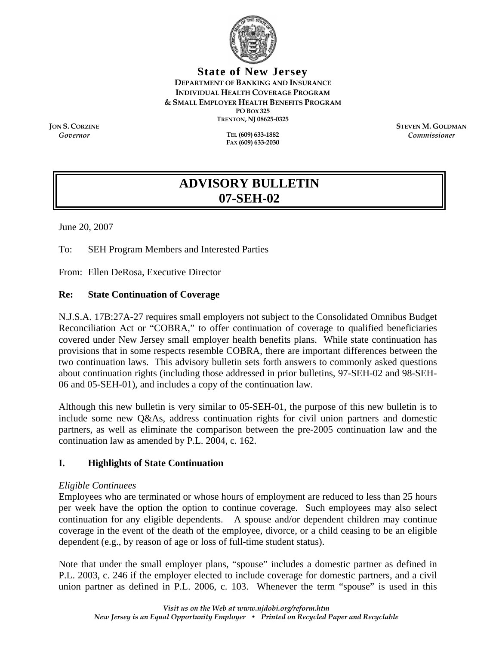

**State of New Jersey DEPARTMENT OF BANKING AND INSURANCE INDIVIDUAL HEALTH COVERAGE PROGRAM & SMALL EMPLOYER HEALTH BENEFITS PROGRAM PO BOX 325 TRENTON, NJ 08625-0325** 

*Governor* **TEL (609) 633-1882 FAX (609) 633-2030** 

**JON S. CORZINE STEVEN M. GOLDMAN** *Commissioner* 

# **ADVISORY BULLETIN 07-SEH-02**

June 20, 2007

To: SEH Program Members and Interested Parties

From: Ellen DeRosa, Executive Director

# **Re: State Continuation of Coverage**

N.J.S.A. 17B:27A-27 requires small employers not subject to the Consolidated Omnibus Budget Reconciliation Act or "COBRA," to offer continuation of coverage to qualified beneficiaries covered under New Jersey small employer health benefits plans. While state continuation has provisions that in some respects resemble COBRA, there are important differences between the two continuation laws. This advisory bulletin sets forth answers to commonly asked questions about continuation rights (including those addressed in prior bulletins, 97-SEH-02 and 98-SEH-06 and 05-SEH-01), and includes a copy of the continuation law.

Although this new bulletin is very similar to 05-SEH-01, the purpose of this new bulletin is to include some new Q&As, address continuation rights for civil union partners and domestic partners, as well as eliminate the comparison between the pre-2005 continuation law and the continuation law as amended by P.L. 2004, c. 162.

#### **I. Highlights of State Continuation**

#### *Eligible Continuees*

Employees who are terminated or whose hours of employment are reduced to less than 25 hours per week have the option the option to continue coverage. Such employees may also select continuation for any eligible dependents. A spouse and/or dependent children may continue coverage in the event of the death of the employee, divorce, or a child ceasing to be an eligible dependent (e.g., by reason of age or loss of full-time student status).

Note that under the small employer plans, "spouse" includes a domestic partner as defined in P.L. 2003, c. 246 if the employer elected to include coverage for domestic partners, and a civil union partner as defined in P.L. 2006, c. 103. Whenever the term "spouse" is used in this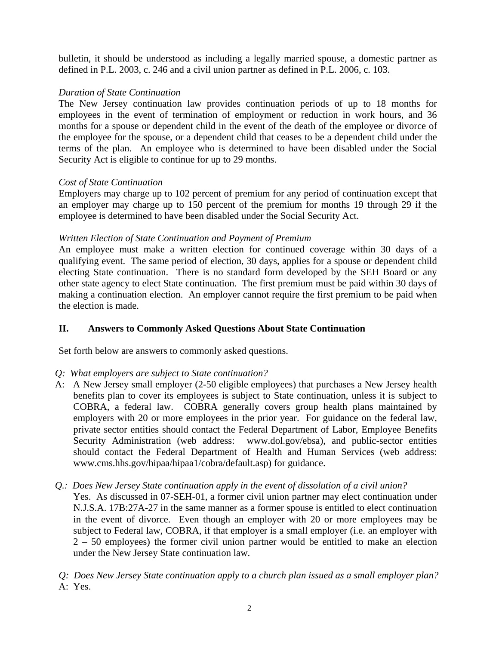bulletin, it should be understood as including a legally married spouse, a domestic partner as defined in P.L. 2003, c. 246 and a civil union partner as defined in P.L. 2006, c. 103.

# *Duration of State Continuation*

The New Jersey continuation law provides continuation periods of up to 18 months for employees in the event of termination of employment or reduction in work hours, and 36 months for a spouse or dependent child in the event of the death of the employee or divorce of the employee for the spouse, or a dependent child that ceases to be a dependent child under the terms of the plan. An employee who is determined to have been disabled under the Social Security Act is eligible to continue for up to 29 months.

#### *Cost of State Continuation*

Employers may charge up to 102 percent of premium for any period of continuation except that an employer may charge up to 150 percent of the premium for months 19 through 29 if the employee is determined to have been disabled under the Social Security Act.

# *Written Election of State Continuation and Payment of Premium*

An employee must make a written election for continued coverage within 30 days of a qualifying event. The same period of election, 30 days, applies for a spouse or dependent child electing State continuation. There is no standard form developed by the SEH Board or any other state agency to elect State continuation. The first premium must be paid within 30 days of making a continuation election. An employer cannot require the first premium to be paid when the election is made.

# **II. Answers to Commonly Asked Questions About State Continuation**

Set forth below are answers to commonly asked questions.

#### *Q: What employers are subject to State continuation?*

- A:A New Jersey small employer (2-50 eligible employees) that purchases a New Jersey health benefits plan to cover its employees is subject to State continuation, unless it is subject to COBRA, a federal law. COBRA generally covers group health plans maintained by employers with 20 or more employees in the prior year. For guidance on the federal law, private sector entities should contact the Federal Department of Labor, Employee Benefits Security Administration (web address: www.dol.gov/ebsa), and public-sector entities should contact the Federal Department of Health and Human Services (web address: www.cms.hhs.gov/hipaa/hipaa1/cobra/default.asp) for guidance.
- *Q.: Does New Jersey State continuation apply in the event of dissolution of a civil union?*

Yes. As discussed in 07-SEH-01, a former civil union partner may elect continuation under N.J.S.A. 17B:27A-27 in the same manner as a former spouse is entitled to elect continuation in the event of divorce. Even though an employer with 20 or more employees may be subject to Federal law, COBRA, if that employer is a small employer (i.e. an employer with 2 – 50 employees) the former civil union partner would be entitled to make an election under the New Jersey State continuation law.

*Q: Does New Jersey State continuation apply to a church plan issued as a small employer plan?*  A: Yes.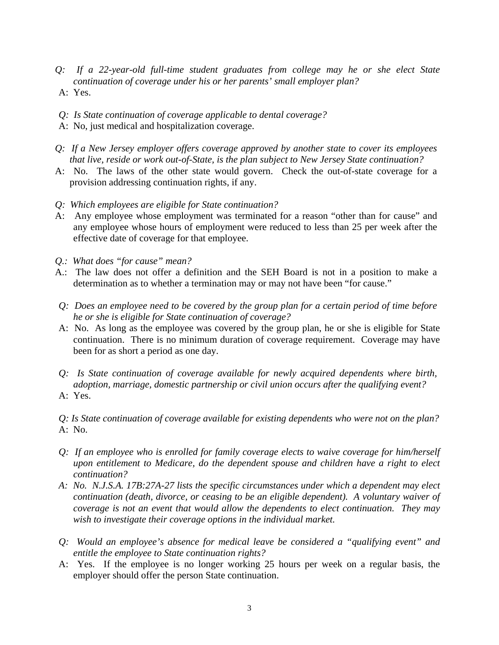- *Q: If a 22-year-old full-time student graduates from college may he or she elect State continuation of coverage under his or her parents' small employer plan?*
- A: Yes.
- *Q: Is State continuation of coverage applicable to dental coverage?*
- A: No, just medical and hospitalization coverage.
- *Q: If a New Jersey employer offers coverage approved by another state to cover its employees that live, reside or work out-of-State, is the plan subject to New Jersey State continuation?*
- A: No. The laws of the other state would govern. Check the out-of-state coverage for a provision addressing continuation rights, if any.
- *Q: Which employees are eligible for State continuation?*
- A: Any employee whose employment was terminated for a reason "other than for cause" and any employee whose hours of employment were reduced to less than 25 per week after the effective date of coverage for that employee.
- *Q.: What does "for cause" mean?*
- A.: The law does not offer a definition and the SEH Board is not in a position to make a determination as to whether a termination may or may not have been "for cause."
- *Q: Does an employee need to be covered by the group plan for a certain period of time before he or she is eligible for State continuation of coverage?*
- A: No. As long as the employee was covered by the group plan, he or she is eligible for State continuation. There is no minimum duration of coverage requirement. Coverage may have been for as short a period as one day.
- *Q: Is State continuation of coverage available for newly acquired dependents where birth, adoption, marriage, domestic partnership or civil union occurs after the qualifying event?*  A: Yes.

*Q: Is State continuation of coverage available for existing dependents who were not on the plan?*  A: No.

- *Q: If an employee who is enrolled for family coverage elects to waive coverage for him/herself upon entitlement to Medicare, do the dependent spouse and children have a right to elect continuation?*
- *A: No. N.J.S.A. 17B:27A-27 lists the specific circumstances under which a dependent may elect continuation (death, divorce, or ceasing to be an eligible dependent). A voluntary waiver of coverage is not an event that would allow the dependents to elect continuation. They may wish to investigate their coverage options in the individual market.*
- *Q: Would an employee's absence for medical leave be considered a "qualifying event" and entitle the employee to State continuation rights?*
- A: Yes. If the employee is no longer working 25 hours per week on a regular basis, the employer should offer the person State continuation.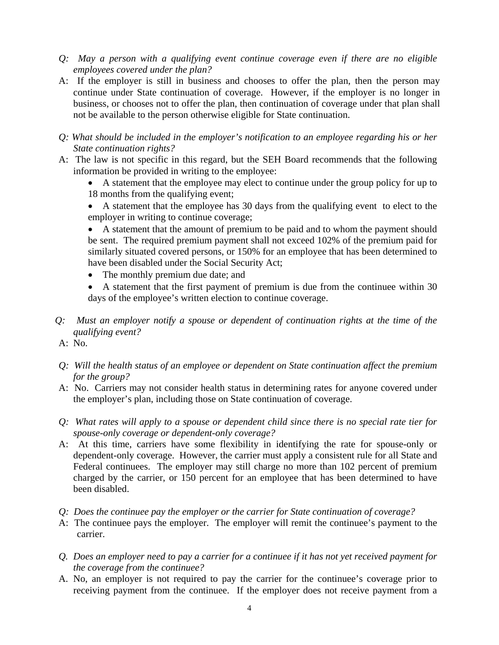- *Q: May a person with a qualifying event continue coverage even if there are no eligible employees covered under the plan?*
- A: If the employer is still in business and chooses to offer the plan, then the person may continue under State continuation of coverage. However, if the employer is no longer in business, or chooses not to offer the plan, then continuation of coverage under that plan shall not be available to the person otherwise eligible for State continuation.
- *Q: What should be included in the employer's notification to an employee regarding his or her State continuation rights?*
- A: The law is not specific in this regard, but the SEH Board recommends that the following information be provided in writing to the employee:
	- A statement that the employee may elect to continue under the group policy for up to 18 months from the qualifying event;
	- A statement that the employee has 30 days from the qualifying event to elect to the employer in writing to continue coverage;
	- A statement that the amount of premium to be paid and to whom the payment should be sent. The required premium payment shall not exceed 102% of the premium paid for similarly situated covered persons, or 150% for an employee that has been determined to have been disabled under the Social Security Act;
	- The monthly premium due date; and
	- A statement that the first payment of premium is due from the continuee within 30 days of the employee's written election to continue coverage.
- *Q: Must an employer notify a spouse or dependent of continuation rights at the time of the qualifying event?*
- A: No.
- *Q: Will the health status of an employee or dependent on State continuation affect the premium for the group?*
- A: No. Carriers may not consider health status in determining rates for anyone covered under the employer's plan, including those on State continuation of coverage.
- *Q: What rates will apply to a spouse or dependent child since there is no special rate tier for spouse-only coverage or dependent-only coverage?*
- A: At this time, carriers have some flexibility in identifying the rate for spouse-only or dependent-only coverage. However, the carrier must apply a consistent rule for all State and Federal continuees. The employer may still charge no more than 102 percent of premium charged by the carrier, or 150 percent for an employee that has been determined to have been disabled.
- *Q: Does the continuee pay the employer or the carrier for State continuation of coverage?*
- A: The continuee pays the employer. The employer will remit the continuee's payment to the carrier.
- *Q. Does an employer need to pay a carrier for a continuee if it has not yet received payment for the coverage from the continuee?*
- A. No, an employer is not required to pay the carrier for the continuee's coverage prior to receiving payment from the continuee. If the employer does not receive payment from a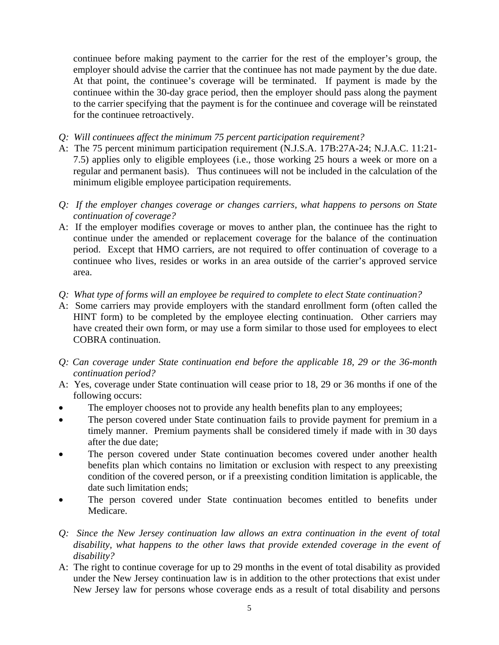continuee before making payment to the carrier for the rest of the employer's group, the employer should advise the carrier that the continuee has not made payment by the due date. At that point, the continuee's coverage will be terminated. If payment is made by the continuee within the 30-day grace period, then the employer should pass along the payment to the carrier specifying that the payment is for the continuee and coverage will be reinstated for the continuee retroactively.

- *Q: Will continuees affect the minimum 75 percent participation requirement?*
- A: The 75 percent minimum participation requirement (N.J.S.A. 17B:27A-24; N.J.A.C. 11:21- 7.5) applies only to eligible employees (i.e., those working 25 hours a week or more on a regular and permanent basis). Thus continuees will not be included in the calculation of the minimum eligible employee participation requirements.
- *Q: If the employer changes coverage or changes carriers, what happens to persons on State continuation of coverage?*
- A: If the employer modifies coverage or moves to anther plan, the continuee has the right to continue under the amended or replacement coverage for the balance of the continuation period. Except that HMO carriers, are not required to offer continuation of coverage to a continuee who lives, resides or works in an area outside of the carrier's approved service area.
- *Q: What type of forms will an employee be required to complete to elect State continuation?*
- A: Some carriers may provide employers with the standard enrollment form (often called the HINT form) to be completed by the employee electing continuation. Other carriers may have created their own form, or may use a form similar to those used for employees to elect COBRA continuation.
- *Q: Can coverage under State continuation end before the applicable 18, 29 or the 36-month continuation period?*
- A: Yes, coverage under State continuation will cease prior to 18, 29 or 36 months if one of the following occurs:
- The employer chooses not to provide any health benefits plan to any employees;
- The person covered under State continuation fails to provide payment for premium in a timely manner. Premium payments shall be considered timely if made with in 30 days after the due date;
- The person covered under State continuation becomes covered under another health benefits plan which contains no limitation or exclusion with respect to any preexisting condition of the covered person, or if a preexisting condition limitation is applicable, the date such limitation ends;
- The person covered under State continuation becomes entitled to benefits under Medicare.
- *Q: Since the New Jersey continuation law allows an extra continuation in the event of total disability, what happens to the other laws that provide extended coverage in the event of disability?*
- A: The right to continue coverage for up to 29 months in the event of total disability as provided under the New Jersey continuation law is in addition to the other protections that exist under New Jersey law for persons whose coverage ends as a result of total disability and persons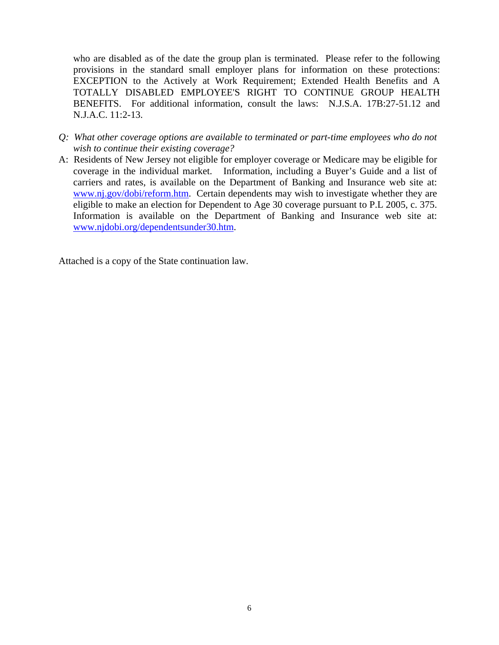who are disabled as of the date the group plan is terminated. Please refer to the following provisions in the standard small employer plans for information on these protections: EXCEPTION to the Actively at Work Requirement; Extended Health Benefits and A TOTALLY DISABLED EMPLOYEE'S RIGHT TO CONTINUE GROUP HEALTH BENEFITS. For additional information, consult the laws: N.J.S.A. 17B:27-51.12 and N.J.A.C. 11:2-13.

- *Q: What other coverage options are available to terminated or part-time employees who do not wish to continue their existing coverage?*
- A: Residents of New Jersey not eligible for employer coverage or Medicare may be eligible for coverage in the individual market. Information, including a Buyer's Guide and a list of carriers and rates, is available on the Department of Banking and Insurance web site at: [www.nj.gov/dobi/reform.htm.](http://www.nj.gov/dobi/reform.htm) Certain dependents may wish to investigate whether they are eligible to make an election for Dependent to Age 30 coverage pursuant to P.L 2005, c. 375. Information is available on the Department of Banking and Insurance web site at: [www.njdobi.org/dependentsunder30.htm.](http://www.njdobi.org/dependentsunder30.htm)

Attached is a copy of the State continuation law.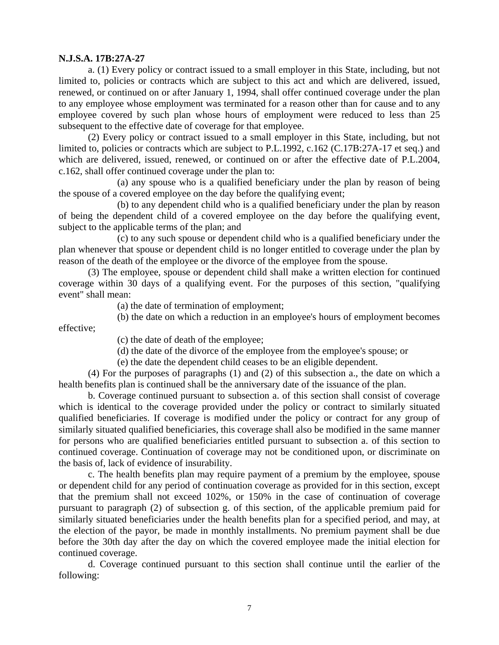#### **N.J.S.A. 17B:27A-27**

a. (1) Every policy or contract issued to a small employer in this State, including, but not limited to, policies or contracts which are subject to this act and which are delivered, issued, renewed, or continued on or after January 1, 1994, shall offer continued coverage under the plan to any employee whose employment was terminated for a reason other than for cause and to any employee covered by such plan whose hours of employment were reduced to less than 25 subsequent to the effective date of coverage for that employee.

(2) Every policy or contract issued to a small employer in this State, including, but not limited to, policies or contracts which are subject to P.L.1992, c.162 (C.17B:27A-17 et seq.) and which are delivered, issued, renewed, or continued on or after the effective date of P.L.2004, c.162, shall offer continued coverage under the plan to:

(a) any spouse who is a qualified beneficiary under the plan by reason of being the spouse of a covered employee on the day before the qualifying event;

(b) to any dependent child who is a qualified beneficiary under the plan by reason of being the dependent child of a covered employee on the day before the qualifying event, subject to the applicable terms of the plan; and

(c) to any such spouse or dependent child who is a qualified beneficiary under the plan whenever that spouse or dependent child is no longer entitled to coverage under the plan by reason of the death of the employee or the divorce of the employee from the spouse.

(3) The employee, spouse or dependent child shall make a written election for continued coverage within 30 days of a qualifying event. For the purposes of this section, "qualifying event" shall mean:

(a) the date of termination of employment;

(b) the date on which a reduction in an employee's hours of employment becomes effective;

(c) the date of death of the employee;

(d) the date of the divorce of the employee from the employee's spouse; or

(e) the date the dependent child ceases to be an eligible dependent.

(4) For the purposes of paragraphs (1) and (2) of this subsection a., the date on which a health benefits plan is continued shall be the anniversary date of the issuance of the plan.

b. Coverage continued pursuant to subsection a. of this section shall consist of coverage which is identical to the coverage provided under the policy or contract to similarly situated qualified beneficiaries. If coverage is modified under the policy or contract for any group of similarly situated qualified beneficiaries, this coverage shall also be modified in the same manner for persons who are qualified beneficiaries entitled pursuant to subsection a. of this section to continued coverage. Continuation of coverage may not be conditioned upon, or discriminate on the basis of, lack of evidence of insurability.

c. The health benefits plan may require payment of a premium by the employee, spouse or dependent child for any period of continuation coverage as provided for in this section, except that the premium shall not exceed 102%, or 150% in the case of continuation of coverage pursuant to paragraph (2) of subsection g. of this section, of the applicable premium paid for similarly situated beneficiaries under the health benefits plan for a specified period, and may, at the election of the payor, be made in monthly installments. No premium payment shall be due before the 30th day after the day on which the covered employee made the initial election for continued coverage.

d. Coverage continued pursuant to this section shall continue until the earlier of the following: